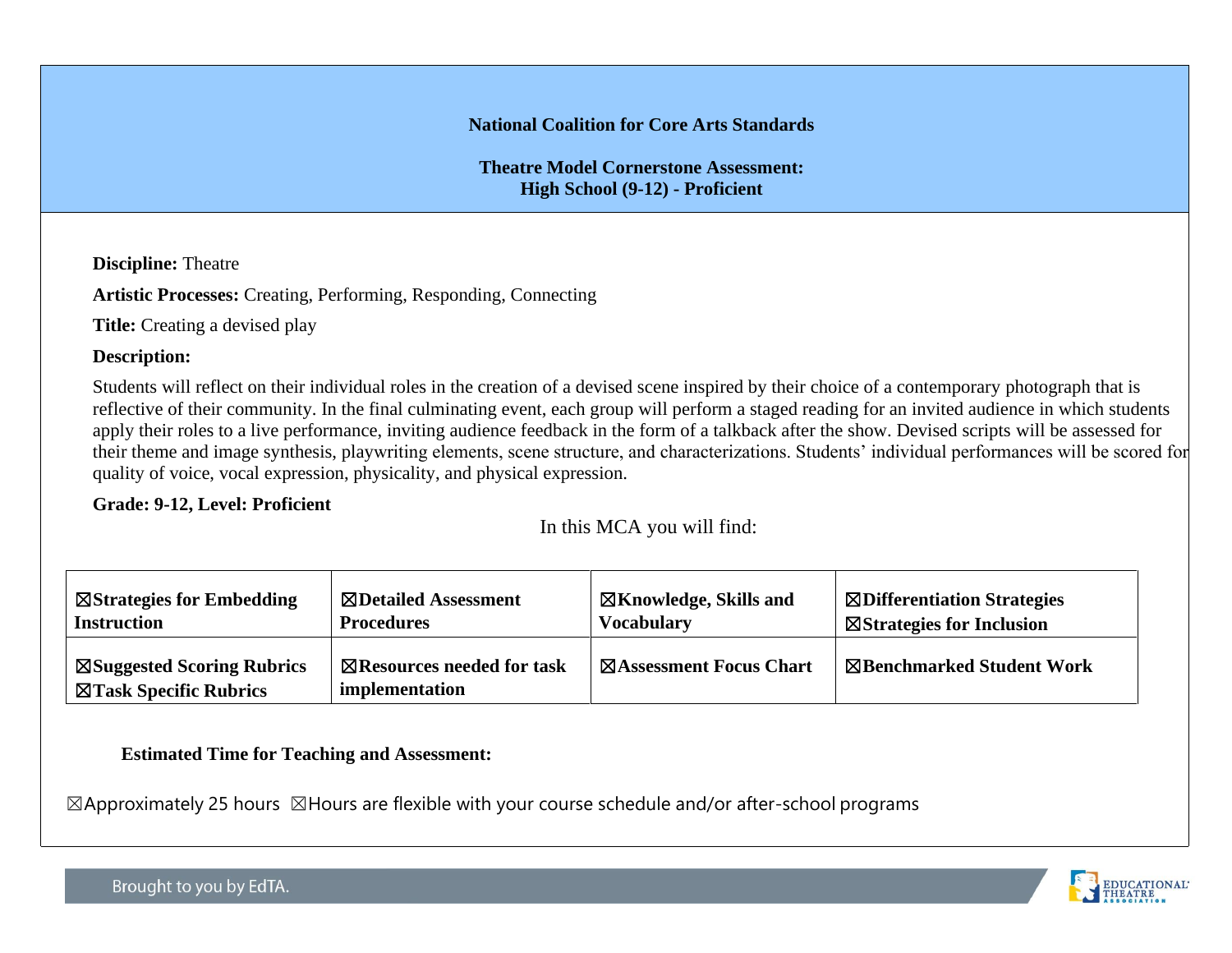#### **National Coalition for Core Arts Standards**

**Theatre Model Cornerstone Assessment: High School (9-12) - Proficient**

**Discipline:** Theatre

**Artistic Processes:** Creating, Performing, Responding, Connecting

**Title:** Creating a devised play

#### **Description:**

Students will reflect on their individual roles in the creation of a devised scene inspired by their choice of a contemporary photograph that is reflective of their community. In the final culminating event, each group will perform a staged reading for an invited audience in which students apply their roles to a live performance, inviting audience feedback in the form of a talkback after the show. Devised scripts will be assessed for their theme and image synthesis, playwriting elements, scene structure, and characterizations. Students' individual performances will be scored for quality of voice, vocal expression, physicality, and physical expression.

#### **Grade: 9-12, Level: Proficient**

In this MCA you will find:

| $\boxtimes$ Strategies for Embedding                            | ⊠Detailed Assessment                                    | ⊠Knowledge, Skills and          | <b>Exploration Strategies</b>        |
|-----------------------------------------------------------------|---------------------------------------------------------|---------------------------------|--------------------------------------|
| <b>Instruction</b>                                              | <b>Procedures</b>                                       | <b>Vocabulary</b>               | $\boxtimes$ Strategies for Inclusion |
| $\boxtimes$ Suggested Scoring Rubrics<br>⊠Task Specific Rubrics | $\boxtimes$ Resources needed for task<br>implementation | <b>EXASSESSMENT Focus Chart</b> | ⊠Benchmarked Student Work            |

#### **Estimated Time for Teaching and Assessment:**

 $\boxtimes$ Approximately 25 hours  $\boxtimes$ Hours are flexible with your course schedule and/or after-school programs

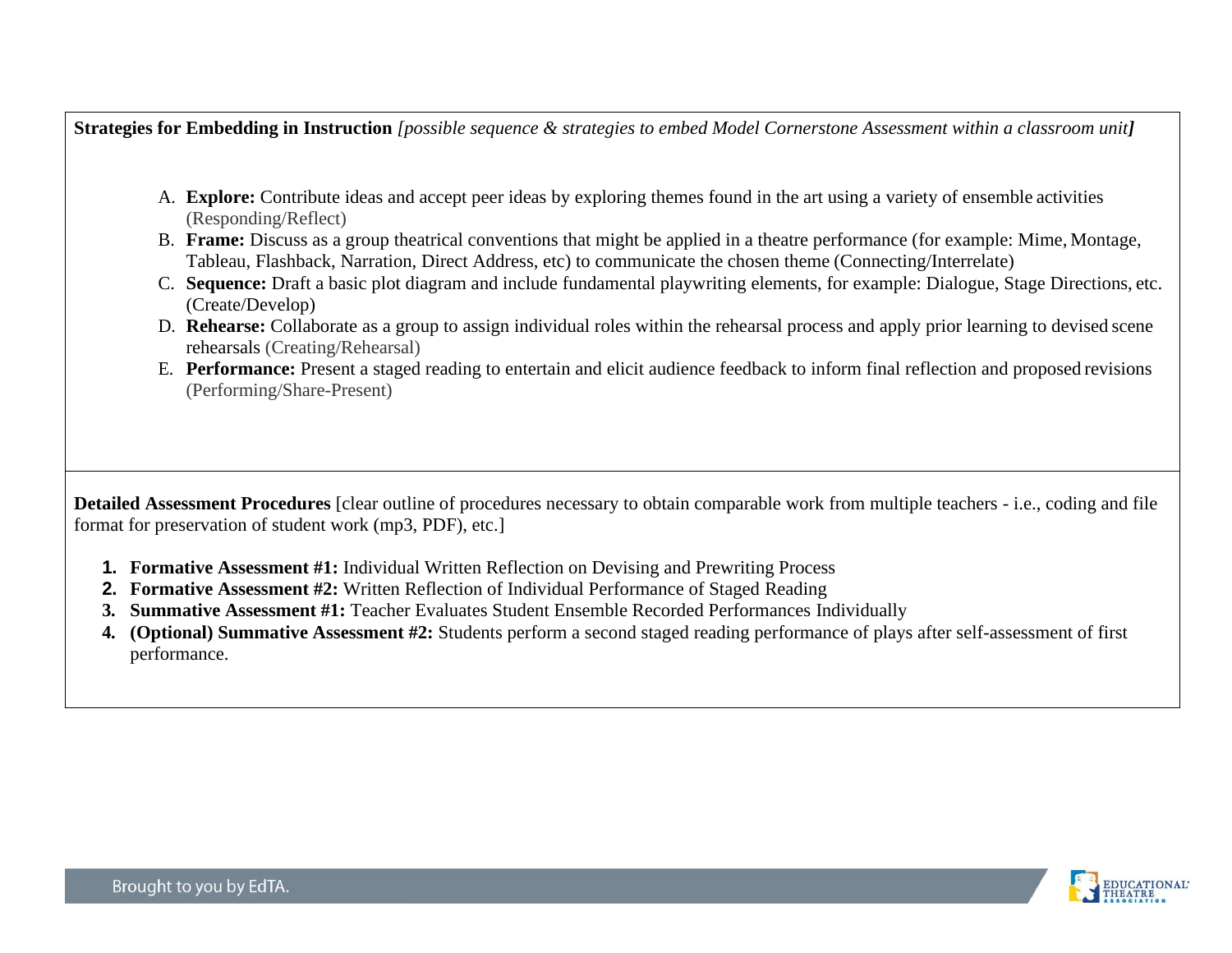**Strategies for Embedding in Instruction** *[possible sequence & strategies to embed Model Cornerstone Assessment within a classroom unit]*

- A. **Explore:** Contribute ideas and accept peer ideas by exploring themes found in the art using a variety of ensemble activities (Responding/Reflect)
- B. **Frame:** Discuss as a group theatrical conventions that might be applied in a theatre performance (for example: Mime, Montage, Tableau, Flashback, Narration, Direct Address, etc) to communicate the chosen theme (Connecting/Interrelate)
- C. **Sequence:** Draft a basic plot diagram and include fundamental playwriting elements, for example: Dialogue, Stage Directions, etc. (Create/Develop)
- D. **Rehearse:** Collaborate as a group to assign individual roles within the rehearsal process and apply prior learning to devised scene rehearsals (Creating/Rehearsal)
- E. **Performance:** Present a staged reading to entertain and elicit audience feedback to inform final reflection and proposed revisions (Performing/Share-Present)

**Detailed Assessment Procedures** [clear outline of procedures necessary to obtain comparable work from multiple teachers - i.e., coding and file format for preservation of student work (mp3, PDF), etc.]

- **1. Formative Assessment #1:** Individual Written Reflection on Devising and Prewriting Process
- **2. Formative Assessment #2:** Written Reflection of Individual Performance of Staged Reading
- **3. Summative Assessment #1:** Teacher Evaluates Student Ensemble Recorded Performances Individually
- **4. (Optional) Summative Assessment #2:** Students perform a second staged reading performance of plays after self-assessment of first performance.

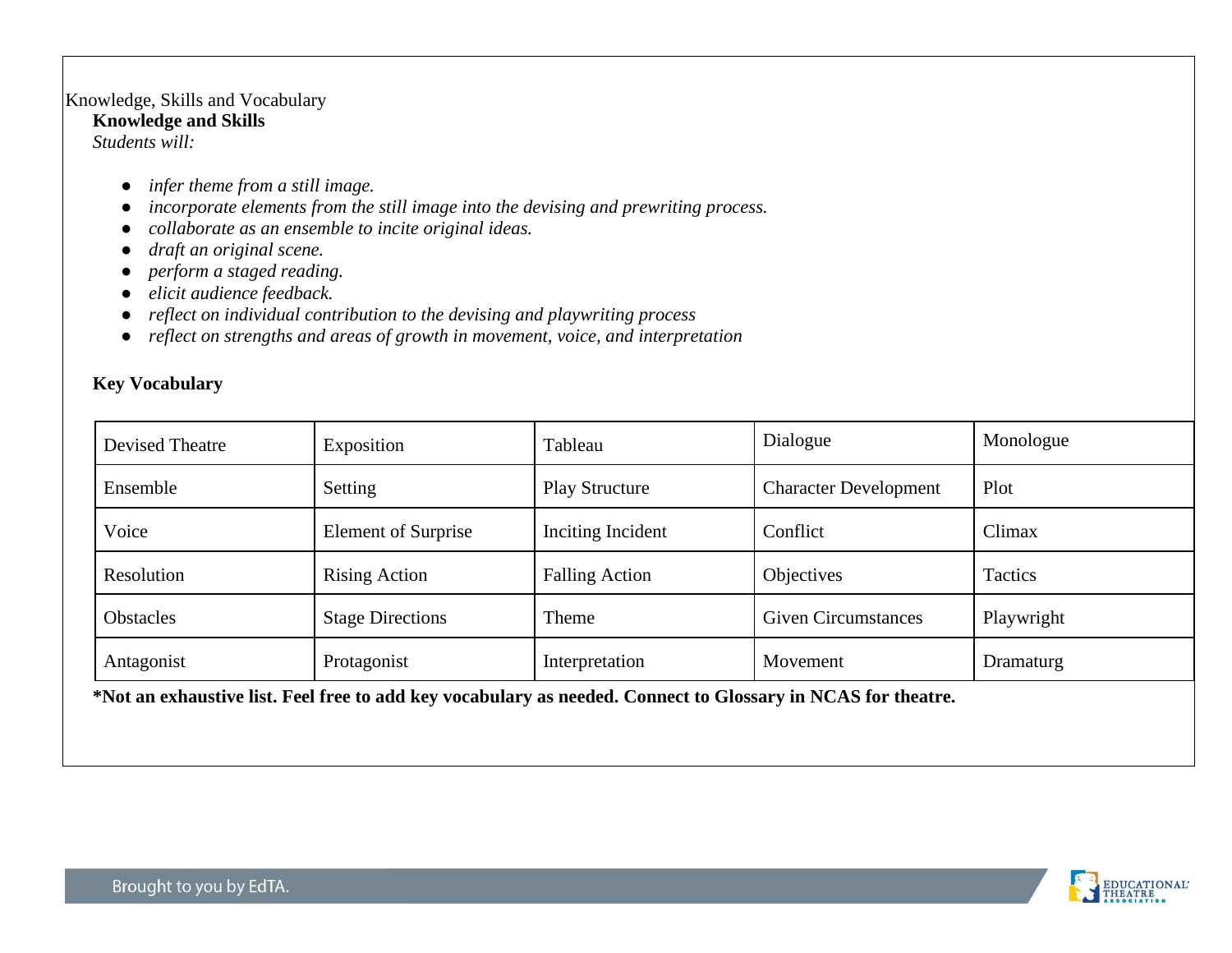#### Knowledge, Skills and Vocabulary

#### **Knowledge and Skills**

*Students will:*

- *infer theme from a still image.*
- *incorporate elements from the still image into the devising and prewriting process.*
- *collaborate as an ensemble to incite original ideas.*
- *draft an original scene.*
- *perform a staged reading.*
- *elicit audience feedback.*
- *reflect on individual contribution to the devising and playwriting process*
- *reflect on strengths and areas of growth in movement, voice, and interpretation*

## **Key Vocabulary**

| Devised Theatre  | Exposition                 | Tableau               | Dialogue                            | Monologue |
|------------------|----------------------------|-----------------------|-------------------------------------|-----------|
| Ensemble         | Setting                    | <b>Play Structure</b> | <b>Character Development</b>        | Plot      |
| Voice            | <b>Element of Surprise</b> | Inciting Incident     | Conflict                            | Climax    |
| Resolution       | <b>Rising Action</b>       | <b>Falling Action</b> | <b>Objectives</b>                   | Tactics   |
| <b>Obstacles</b> | <b>Stage Directions</b>    |                       | <b>Given Circumstances</b><br>Theme |           |
| Antagonist       | Protagonist                |                       | Movement                            | Dramaturg |

**\*Not an exhaustive list. Feel free to add key vocabulary as needed. Connect to Glossary in NCAS for theatre.** 

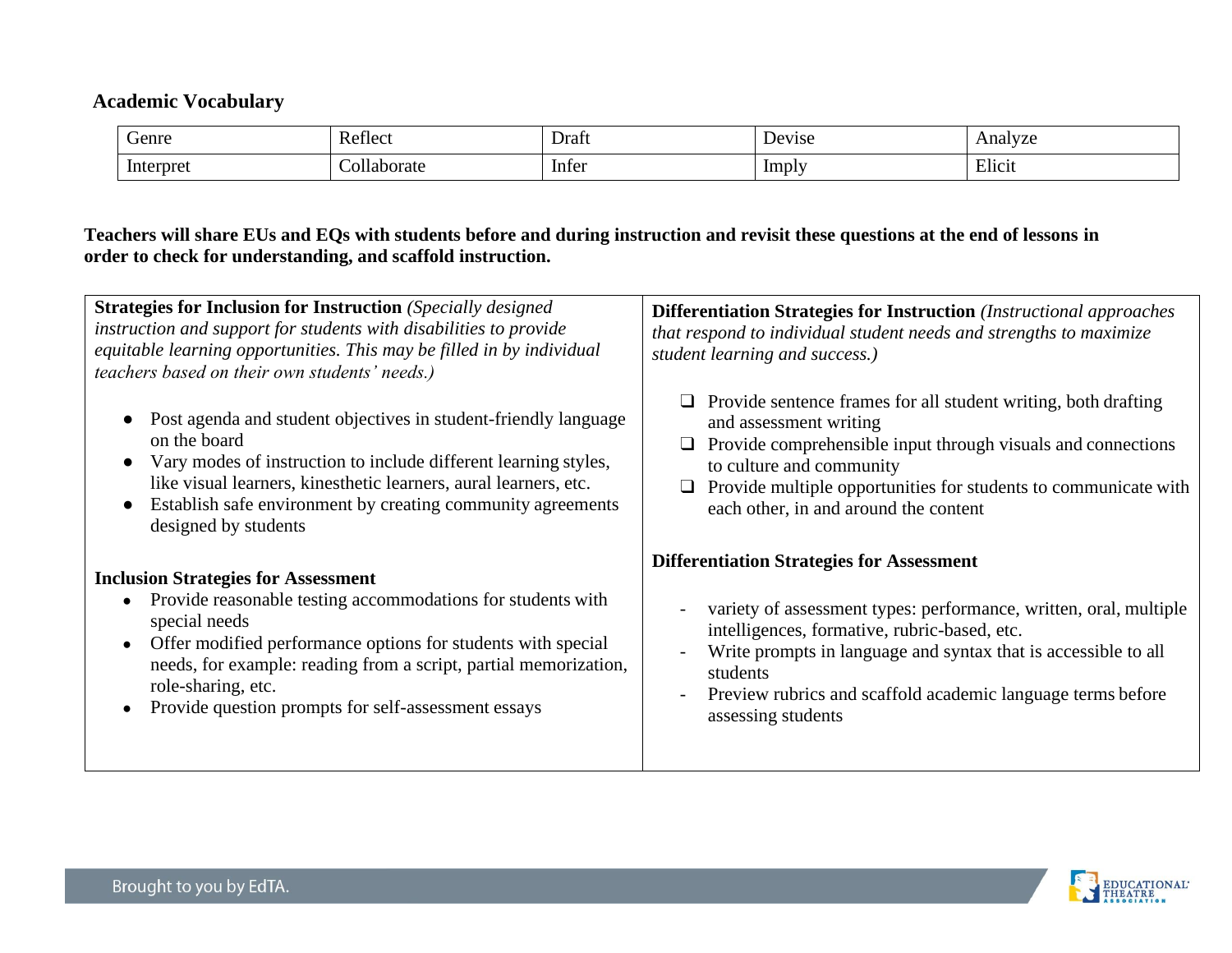## **Academic Vocabulary**

| Genre                                                                                        | Reflect<br><b>KEI</b> | Ë<br>Draft | $\mathbf{M}$<br>vise | Anar<br>V ZU |
|----------------------------------------------------------------------------------------------|-----------------------|------------|----------------------|--------------|
| Interpret<br>the contract of the contract of the contract of the contract of the contract of | orate                 | Infer      | Imply                | Elicit       |

## **Teachers will share EUs and EQs with students before and during instruction and revisit these questions at the end of lessons in order to check for understanding, and scaffold instruction.**

| <b>Strategies for Inclusion for Instruction</b> (Specially designed)<br>instruction and support for students with disabilities to provide<br>equitable learning opportunities. This may be filled in by individual<br>teachers based on their own students' needs.)                                                                                      | <b>Differentiation Strategies for Instruction</b> (Instructional approaches<br>that respond to individual student needs and strengths to maximize<br>student learning and success.)                                                                                                                                                      |  |  |
|----------------------------------------------------------------------------------------------------------------------------------------------------------------------------------------------------------------------------------------------------------------------------------------------------------------------------------------------------------|------------------------------------------------------------------------------------------------------------------------------------------------------------------------------------------------------------------------------------------------------------------------------------------------------------------------------------------|--|--|
| Post agenda and student objectives in student-friendly language<br>on the board<br>Vary modes of instruction to include different learning styles,<br>like visual learners, kinesthetic learners, aural learners, etc.<br>Establish safe environment by creating community agreements<br>designed by students                                            | Provide sentence frames for all student writing, both drafting<br>and assessment writing<br>Provide comprehensible input through visuals and connections<br>⊔<br>to culture and community<br>Provide multiple opportunities for students to communicate with<br>$\Box$<br>each other, in and around the content                          |  |  |
| <b>Inclusion Strategies for Assessment</b><br>Provide reasonable testing accommodations for students with<br>special needs<br>Offer modified performance options for students with special<br>$\bullet$<br>needs, for example: reading from a script, partial memorization,<br>role-sharing, etc.<br>Provide question prompts for self-assessment essays | <b>Differentiation Strategies for Assessment</b><br>variety of assessment types: performance, written, oral, multiple<br>intelligences, formative, rubric-based, etc.<br>Write prompts in language and syntax that is accessible to all<br>students<br>Preview rubrics and scaffold academic language terms before<br>assessing students |  |  |

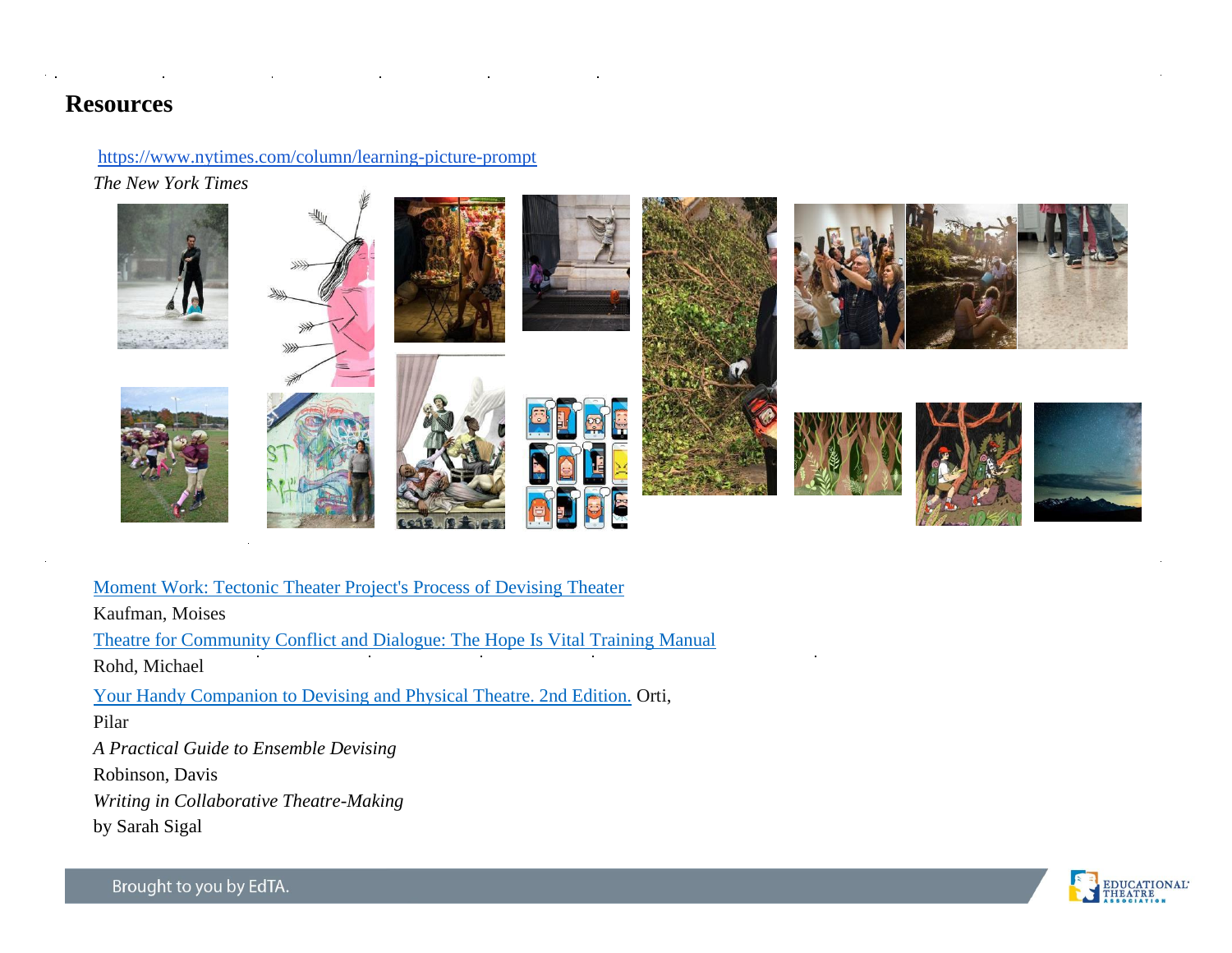## **Resources**

<https://www.nytimes.com/column/learning-picture-prompt>

*The New York Times*



[Moment Work: Tectonic Theater Project's Process of Devising Theater](https://www.amazon.com/gp/product/1101971770/ref%3Doh_aui_detailpage_o02_s00?ie=UTF8&psc=1) Kaufman, Moises [Theatre for Community Conflict and Dialogue: The Hope Is Vital Training Manual](https://www.amazon.com/gp/product/0325000026/ref%3Doh_aui_detailpage_o02_s00?ie=UTF8&psc=1) Rohd, Michael [Your Handy Companion to Devising and Physical Theatre. 2nd Edition.](https://www.amazon.com/gp/product/1291718850/ref%3Doh_aui_detailpage_o02_s00?ie=UTF8&psc=1) Orti, Pilar *A Practical Guide to Ensemble Devising* Robinson, Davis *Writing in Collaborative Theatre-Making* by Sarah Sigal

**EDUCATIONAL** 

Brought to you by EdTA.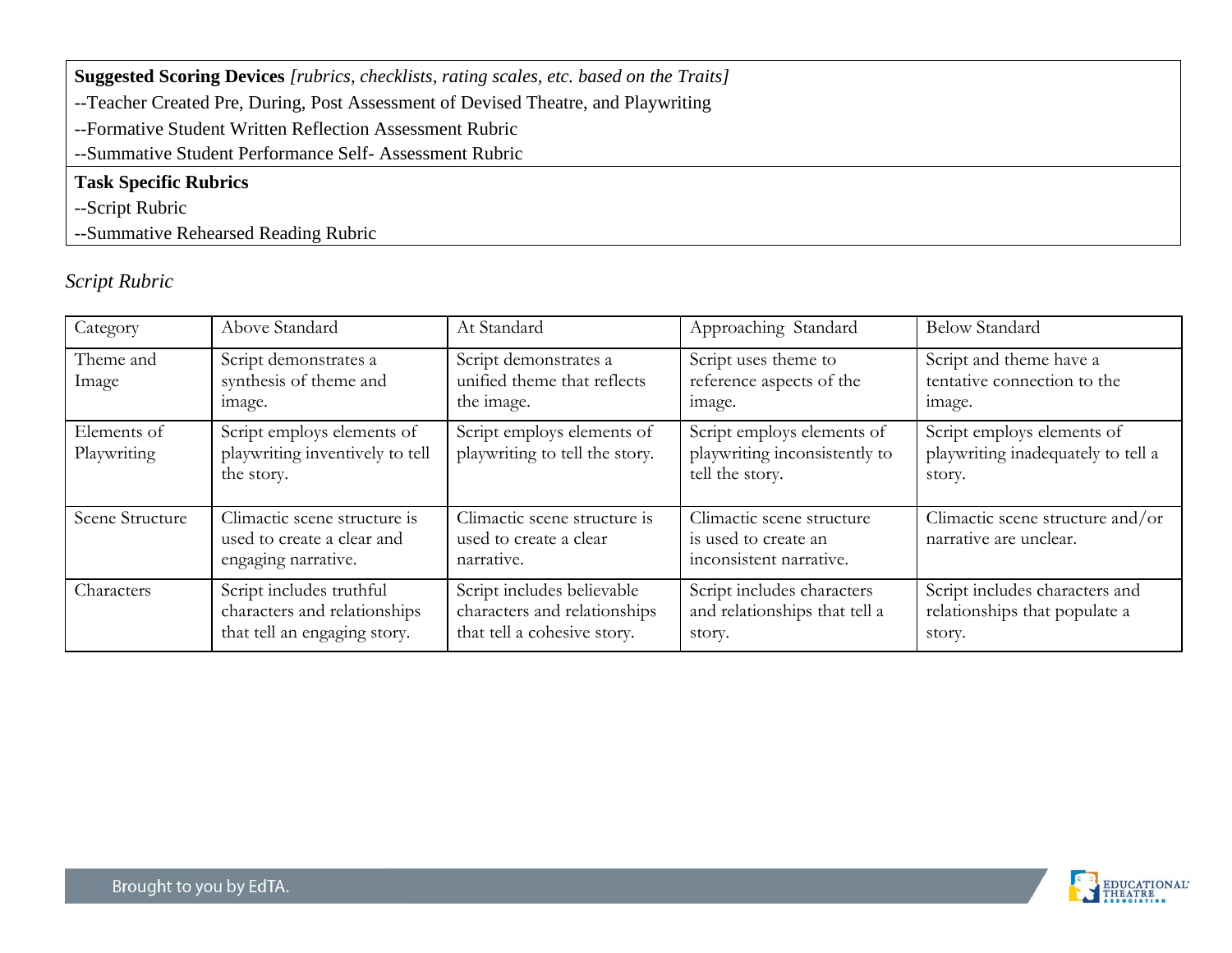| <b>Suggested Scoring Devices</b> [rubrics, checklists, rating scales, etc. based on the Traits] |  |  |  |  |
|-------------------------------------------------------------------------------------------------|--|--|--|--|
| --Teacher Created Pre, During, Post Assessment of Devised Theatre, and Playwriting              |  |  |  |  |
| --Formative Student Written Reflection Assessment Rubric                                        |  |  |  |  |
| --Summative Student Performance Self-Assessment Rubric                                          |  |  |  |  |
| <b>Task Specific Rubrics</b>                                                                    |  |  |  |  |
| --Script Rubric                                                                                 |  |  |  |  |

--Summative Rehearsed Reading Rubric

# *Script Rubric*

| Category                   | Above Standard                                                                           | At Standard                                                                               | Approaching Standard                                                           | <b>Below Standard</b>                                                      |
|----------------------------|------------------------------------------------------------------------------------------|-------------------------------------------------------------------------------------------|--------------------------------------------------------------------------------|----------------------------------------------------------------------------|
| Theme and<br>Image         | Script demonstrates a<br>synthesis of theme and<br>image.                                | Script demonstrates a<br>unified theme that reflects<br>the image.                        | Script uses theme to<br>reference aspects of the<br>image.                     | Script and theme have a<br>tentative connection to the<br>image.           |
| Elements of<br>Playwriting | Script employs elements of<br>playwriting inventively to tell<br>the story.              | Script employs elements of<br>playwriting to tell the story.                              | Script employs elements of<br>playwriting inconsistently to<br>tell the story. | Script employs elements of<br>playwriting inadequately to tell a<br>story. |
| Scene Structure            | Climactic scene structure is<br>used to create a clear and<br>engaging narrative.        | Climactic scene structure is<br>used to create a clear<br>narrative.                      | Climactic scene structure<br>is used to create an<br>inconsistent narrative.   | Climactic scene structure and/or<br>narrative are unclear.                 |
| Characters                 | Script includes truthful<br>characters and relationships<br>that tell an engaging story. | Script includes believable<br>characters and relationships<br>that tell a cohesive story. | Script includes characters<br>and relationships that tell a<br>story.          | Script includes characters and<br>relationships that populate a<br>story.  |

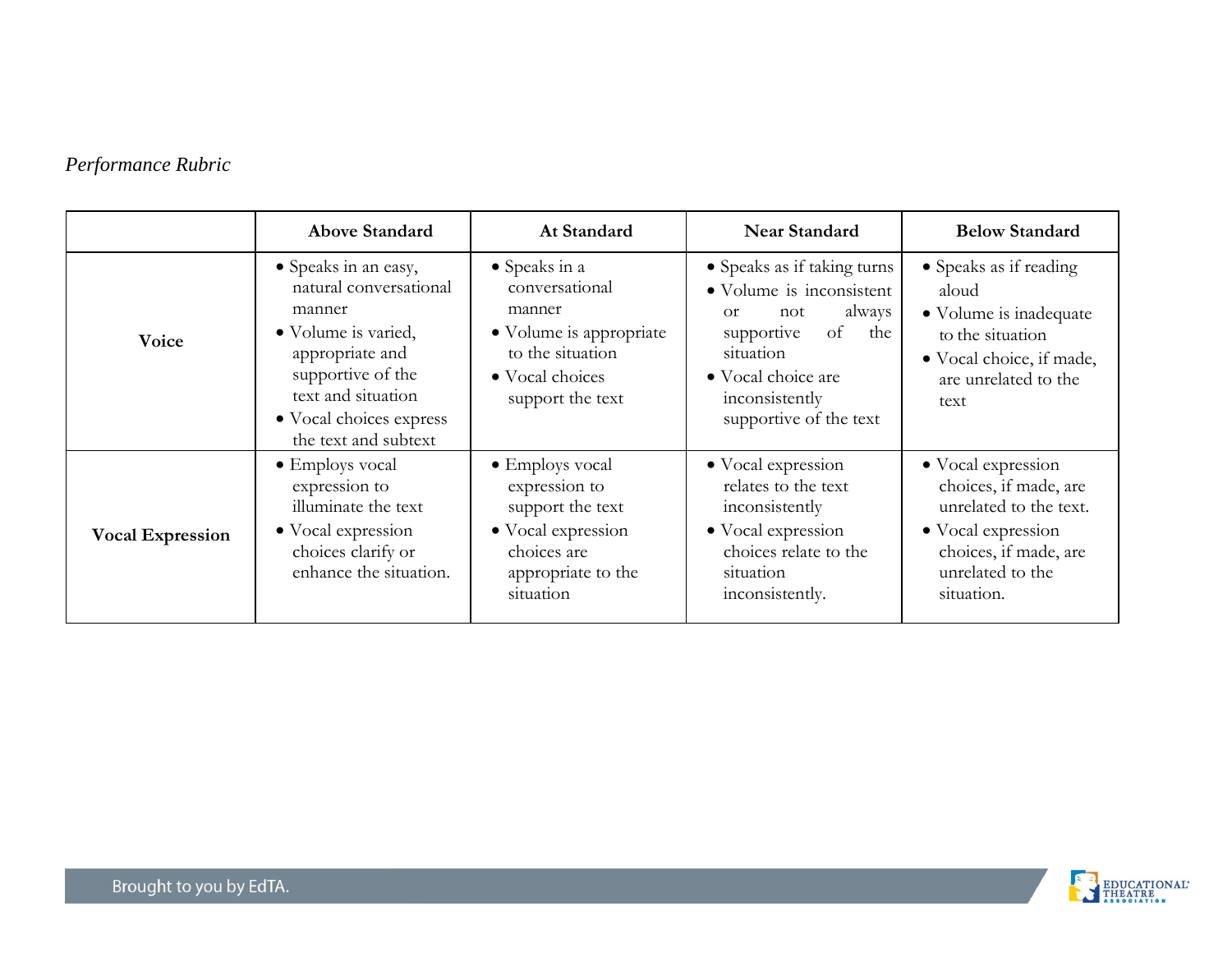# *Performance Rubric*

|                         | <b>Above Standard</b>                                                                                                                                                                            | At Standard                                                                                                                          | <b>Near Standard</b>                                                                                                                                                                        | <b>Below Standard</b>                                                                                                                                  |
|-------------------------|--------------------------------------------------------------------------------------------------------------------------------------------------------------------------------------------------|--------------------------------------------------------------------------------------------------------------------------------------|---------------------------------------------------------------------------------------------------------------------------------------------------------------------------------------------|--------------------------------------------------------------------------------------------------------------------------------------------------------|
| Voice                   | • Speaks in an easy,<br>natural conversational<br>manner<br>• Volume is varied,<br>appropriate and<br>supportive of the<br>text and situation<br>• Vocal choices express<br>the text and subtext | • Speaks in a<br>conversational<br>manner<br>• Volume is appropriate<br>to the situation<br>• Vocal choices<br>support the text      | • Speaks as if taking turns<br>• Volume is inconsistent<br>always<br>not<br>$\alpha$<br>supportive<br>of the<br>situation<br>• Vocal choice are<br>inconsistently<br>supportive of the text | • Speaks as if reading<br>aloud<br>• Volume is inadequate<br>to the situation<br>• Vocal choice, if made,<br>are unrelated to the<br>text              |
| <b>Vocal Expression</b> | • Employs vocal<br>expression to<br>illuminate the text<br>• Vocal expression<br>choices clarify or<br>enhance the situation.                                                                    | $\bullet$ Employs vocal<br>expression to<br>support the text<br>• Vocal expression<br>choices are<br>appropriate to the<br>situation | • Vocal expression<br>relates to the text<br>inconsistently<br>• Vocal expression<br>choices relate to the<br>situation<br>inconsistently.                                                  | • Vocal expression<br>choices, if made, are<br>unrelated to the text.<br>• Vocal expression<br>choices, if made, are<br>unrelated to the<br>situation. |